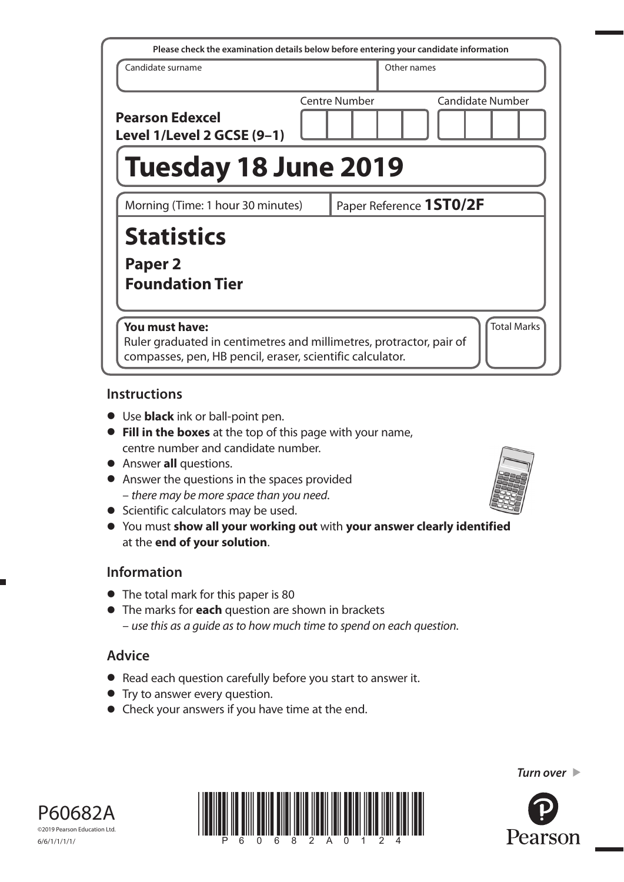|                                                                                                                                                    | Please check the examination details below before entering your candidate information |
|----------------------------------------------------------------------------------------------------------------------------------------------------|---------------------------------------------------------------------------------------|
| Candidate surname                                                                                                                                  | Other names                                                                           |
| <b>Pearson Edexcel</b><br>Level 1/Level 2 GCSE (9-1)                                                                                               | <b>Centre Number</b><br><b>Candidate Number</b>                                       |
| <b>Tuesday 18 June 2019</b>                                                                                                                        |                                                                                       |
| Morning (Time: 1 hour 30 minutes)                                                                                                                  | Paper Reference 1ST0/2F                                                               |
| <b>Statistics</b><br>Paper <sub>2</sub><br><b>Foundation Tier</b>                                                                                  |                                                                                       |
| You must have:<br>Ruler graduated in centimetres and millimetres, protractor, pair of<br>compasses, pen, HB pencil, eraser, scientific calculator. | <b>Total Marks</b>                                                                    |

# **Instructions**

- Use **black** ink or ball-point pen.
- **Fill in the boxes** at the top of this page with your name, centre number and candidate number.
- Answer **all** questions.
- Answer the questions in the spaces provided – there may be more space than you need.
- Scientific calculators may be used.
- You must **show all your working out** with **your answer clearly identified** at the **end of your solution**.

# **Information**

- The total mark for this paper is 80
- The marks for **each** question are shown in brackets – use this as a guide as to how much time to spend on each question.

# **Advice**

- Read each question carefully before you start to answer it.
- Try to answer every question.
- Check your answers if you have time at the end.







*Turn over* 

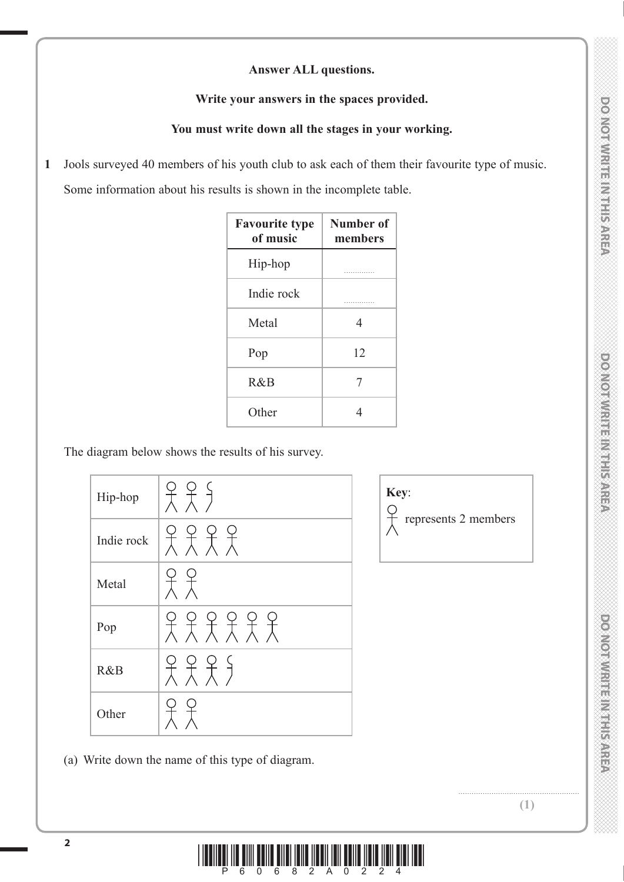# **DONOIWRITEIN HEAREA**

## **Answer ALL questions.**

#### **Write your answers in the spaces provided.**

#### **You must write down all the stages in your working.**

**1** Jools surveyed 40 members of his youth club to ask each of them their favourite type of music. Some information about his results is shown in the incomplete table.

| <b>Favourite type</b><br>of music | Number of<br>members |
|-----------------------------------|----------------------|
| Hip-hop                           |                      |
| Indie rock                        |                      |
| Metal                             | 4                    |
| Pop                               | 12                   |
| R&B                               | 7                    |
| Other                             |                      |

The diagram below shows the results of his survey.

| Hip-hop    | 775    | Key:         |
|------------|--------|--------------|
| Indie rock | 7777   | $\mathbf{r}$ |
| Metal      | 77     |              |
| Pop        | 777777 |              |
| R&B        | 777    |              |
| Other      |        |              |



(a) Write down the name of this type of diagram.



.......................................................

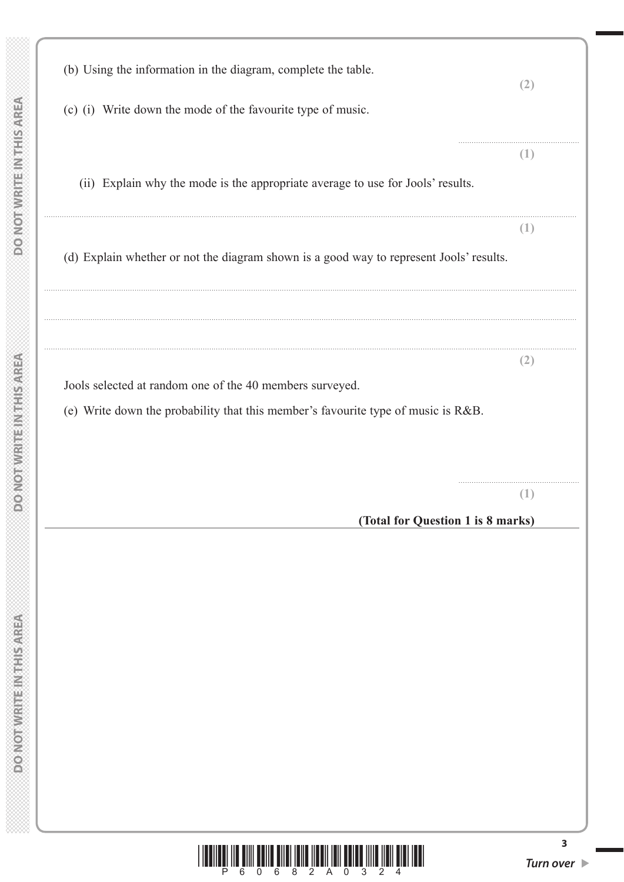

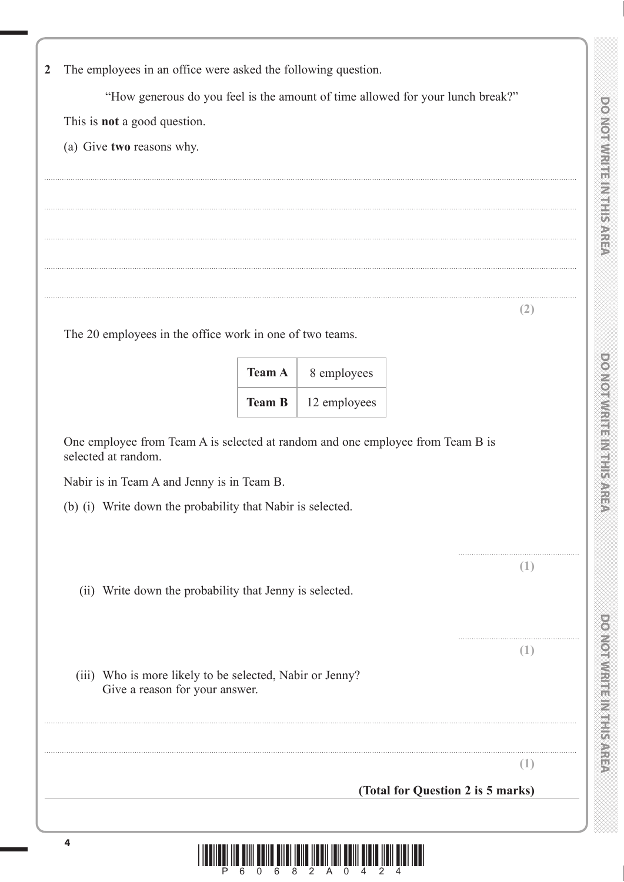|                                                                                            |               | "How generous do you feel is the amount of time allowed for your lunch break?" |
|--------------------------------------------------------------------------------------------|---------------|--------------------------------------------------------------------------------|
| This is <b>not</b> a good question.                                                        |               |                                                                                |
| (a) Give two reasons why.                                                                  |               |                                                                                |
|                                                                                            |               |                                                                                |
|                                                                                            |               |                                                                                |
|                                                                                            |               |                                                                                |
|                                                                                            |               |                                                                                |
|                                                                                            |               |                                                                                |
|                                                                                            |               | $\angle$                                                                       |
| The 20 employees in the office work in one of two teams.                                   |               |                                                                                |
|                                                                                            | Team A        | 8 employees                                                                    |
|                                                                                            |               |                                                                                |
|                                                                                            | <b>Team B</b> | 12 employees                                                                   |
| selected at random.                                                                        |               | One employee from Team A is selected at random and one employee from Team B is |
| Nabir is in Team A and Jenny is in Team B.                                                 |               |                                                                                |
| (b) (i) Write down the probability that Nabir is selected.                                 |               |                                                                                |
|                                                                                            |               |                                                                                |
|                                                                                            |               | L.                                                                             |
|                                                                                            |               |                                                                                |
| (ii) Write down the probability that Jenny is selected.                                    |               |                                                                                |
|                                                                                            |               |                                                                                |
|                                                                                            |               |                                                                                |
|                                                                                            |               | H.                                                                             |
| (iii) Who is more likely to be selected, Nabir or Jenny?<br>Give a reason for your answer. |               |                                                                                |
|                                                                                            |               |                                                                                |
|                                                                                            |               |                                                                                |
|                                                                                            |               | (上)                                                                            |

4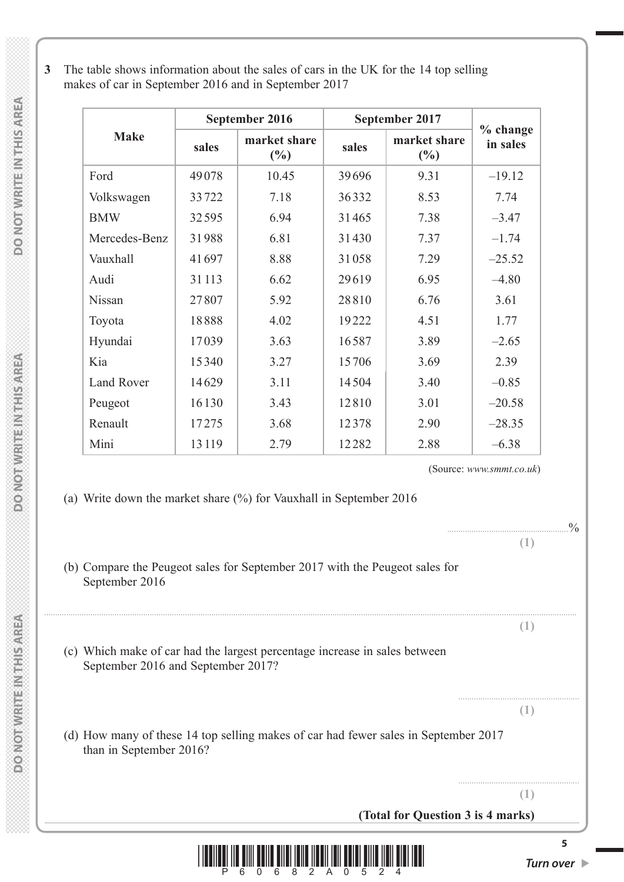**3** The table shows information about the sales of cars in the UK for the 14 top selling makes of car in September 2016 and in September 2017

|                   |       | September 2016         |       | September 2017      |                      |
|-------------------|-------|------------------------|-------|---------------------|----------------------|
| <b>Make</b>       | sales | market share<br>$(\%)$ | sales | market share<br>(%) | % change<br>in sales |
| Ford              | 49078 | 10.45                  | 39696 | 9.31                | $-19.12$             |
| Volkswagen        | 33722 | 7.18                   | 36332 | 8.53                | 7.74                 |
| <b>BMW</b>        | 32595 | 6.94                   | 31465 | 7.38                | $-3.47$              |
| Mercedes-Benz     | 31988 | 6.81                   | 31430 | 7.37                | $-1.74$              |
| Vauxhall          | 41697 | 8.88                   | 31058 | 7.29                | $-25.52$             |
| Audi              | 31113 | 6.62                   | 29619 | 6.95                | $-4.80$              |
| Nissan            | 27807 | 5.92                   | 28810 | 6.76                | 3.61                 |
| Toyota            | 18888 | 4.02                   | 19222 | 4.51                | 1.77                 |
| Hyundai           | 17039 | 3.63                   | 16587 | 3.89                | $-2.65$              |
| Kia               | 15340 | 3.27                   | 15706 | 3.69                | 2.39                 |
| <b>Land Rover</b> | 14629 | 3.11                   | 14504 | 3.40                | $-0.85$              |
| Peugeot           | 16130 | 3.43                   | 12810 | 3.01                | $-20.58$             |
| Renault           | 17275 | 3.68                   | 12378 | 2.90                | $-28.35$             |
| Mini              | 13119 | 2.79                   | 12282 | 2.88                | $-6.38$              |

(Source: *www.smmt.co.uk*)

- (a) Write down the market share (%) for Vauxhall in September 2016
- **5** .......................................................% **(1)** (b) Compare the Peugeot sales for September 2017 with the Peugeot sales for September 2016 .................................................................................................................................................................................................................................................. **(1)** (c) Which make of car had the largest percentage increase in sales between September 2016 and September 2017? ....................................................... **(1)** (d) How many of these 14 top selling makes of car had fewer sales in September 2017 than in September 2016? ....................................................... **(1) (Total for Question 3 is 4 marks)**



**DOMOT WRITEN HIS AREA**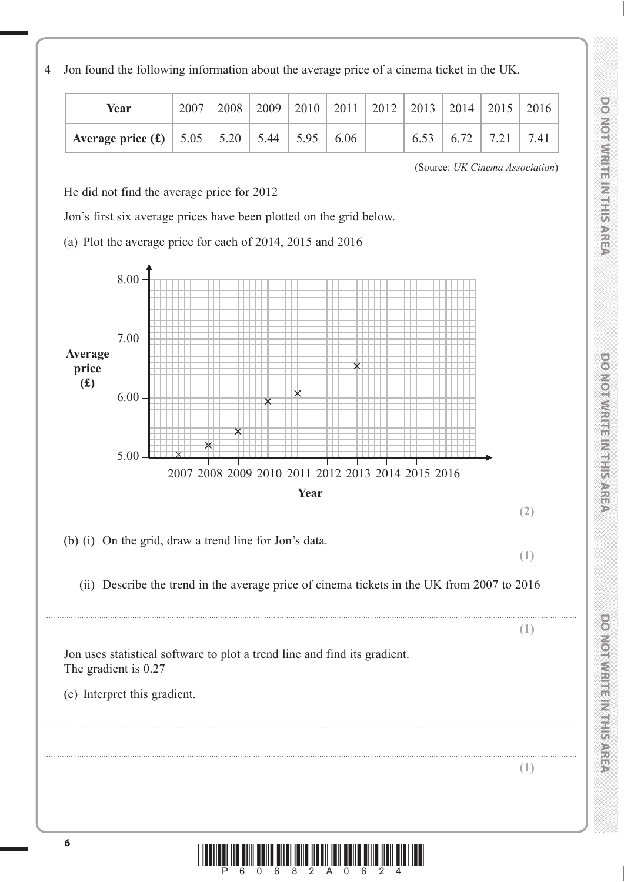**4** Jon found the following information about the average price of a cinema ticket in the UK.

| Year                                                        | 2007   2008   2009   2010   2011   2012   2013   2014   2015   2016 |  |  |  |                          |      |
|-------------------------------------------------------------|---------------------------------------------------------------------|--|--|--|--------------------------|------|
| <b>Average price (£)</b>   5.05   5.20   5.44   5.95   6.06 |                                                                     |  |  |  | $6.53$   $6.72$   $7.21$ | 7.41 |

(Source: *UK Cinema Association*)

He did not find the average price for 2012

Jon's first six average prices have been plotted on the grid below.

(a) Plot the average price for each of 2014, 2015 and 2016



\*P60682A0624\*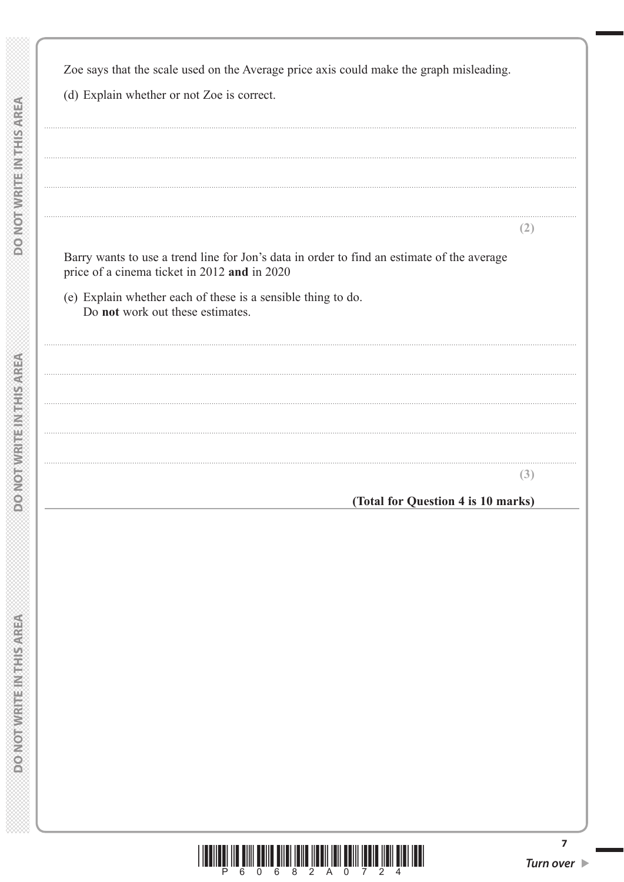**ASSING SIMULATION ON OUT** 

| Zoe says that the scale used on the Average price axis could make the graph misleading.                                                    |                                    |
|--------------------------------------------------------------------------------------------------------------------------------------------|------------------------------------|
| (d) Explain whether or not Zoe is correct.                                                                                                 |                                    |
|                                                                                                                                            |                                    |
|                                                                                                                                            |                                    |
|                                                                                                                                            |                                    |
|                                                                                                                                            |                                    |
|                                                                                                                                            |                                    |
|                                                                                                                                            | $\angle$                           |
| Barry wants to use a trend line for Jon's data in order to find an estimate of the average<br>price of a cinema ticket in 2012 and in 2020 |                                    |
| (e) Explain whether each of these is a sensible thing to do.                                                                               |                                    |
| Do not work out these estimates.                                                                                                           |                                    |
|                                                                                                                                            |                                    |
|                                                                                                                                            |                                    |
|                                                                                                                                            |                                    |
|                                                                                                                                            |                                    |
|                                                                                                                                            |                                    |
|                                                                                                                                            |                                    |
|                                                                                                                                            | (3)                                |
|                                                                                                                                            | (Total for Question 4 is 10 marks) |
|                                                                                                                                            |                                    |
|                                                                                                                                            |                                    |
|                                                                                                                                            |                                    |
|                                                                                                                                            |                                    |
|                                                                                                                                            |                                    |
|                                                                                                                                            |                                    |
|                                                                                                                                            |                                    |



 $\overline{z}$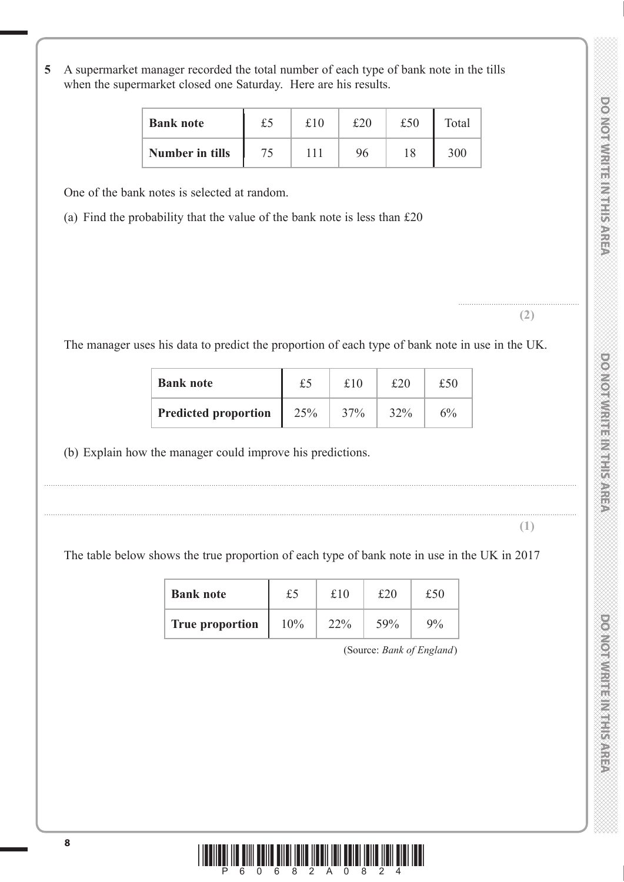- DOMOTWRITE MITHIS AREA
- **THIS AREA DO NOT WRITE IN THIS AREA DO NOT WRITE IN THIS AREA DO NOT WRITE IN THIS AREA DO NOT WRITE IN THIS AREA DO NOT WRITE IN THIS AREA DO NOT WRITE IN THE INTERNATIONAL CONTINUES.** DONOINVERTE MILLION 00

**5** A supermarket manager recorded the total number of each type of bank note in the tills when the supermarket closed one Saturday. Here are his results.

| <b>Bank note</b>       | £5 | $\pounds10$ | £20 | £50 | Total |
|------------------------|----|-------------|-----|-----|-------|
| <b>Number in tills</b> |    |             | 96  | 18  | 300   |

One of the bank notes is selected at random.

(a) Find the probability that the value of the bank note is less than £20

The manager uses his data to predict the proportion of each type of bank note in use in the UK.

| <b>Bank note</b>            | £5  | £10 | £20 | £50   |
|-----------------------------|-----|-----|-----|-------|
| <b>Predicted proportion</b> | 25% | 37% | 32% | $6\%$ |

..................................................................................................................................................................................................................................................

(b) Explain how the manager could improve his predictions.

**(1)**

....................................................... **(2)**

The table below shows the true proportion of each type of bank note in use in the UK in 2017

..................................................................................................................................................................................................................................................

| <b>Bank note</b>       | £5  | £10 | £20 | £50   |
|------------------------|-----|-----|-----|-------|
| <b>True proportion</b> | 10% | 22% | 59% | $9\%$ |

(Source: *Bank of England*)

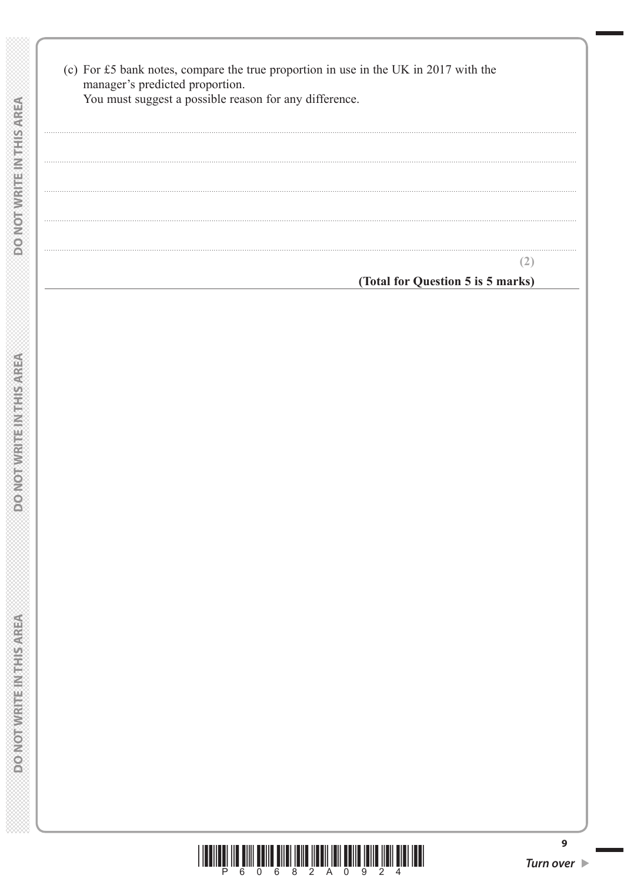| You must suggest a possible reason for any difference. |                                   |     |
|--------------------------------------------------------|-----------------------------------|-----|
|                                                        |                                   |     |
|                                                        |                                   |     |
|                                                        |                                   |     |
|                                                        |                                   |     |
|                                                        |                                   | (2) |
|                                                        | (Total for Question 5 is 5 marks) |     |
|                                                        |                                   |     |
|                                                        |                                   |     |
|                                                        |                                   |     |
|                                                        |                                   |     |
|                                                        |                                   |     |
|                                                        |                                   |     |
|                                                        |                                   |     |
|                                                        |                                   |     |
|                                                        |                                   |     |
|                                                        |                                   |     |
|                                                        |                                   |     |
|                                                        |                                   |     |
|                                                        |                                   |     |
|                                                        |                                   |     |
|                                                        |                                   |     |
|                                                        |                                   |     |
|                                                        |                                   |     |

**DO NOT WRITE IN THIS AREA** 

**PO NOT WIREINITHIS AREA** 

**DONOT WRITEIN THIS AREA** 



 $\overline{9}$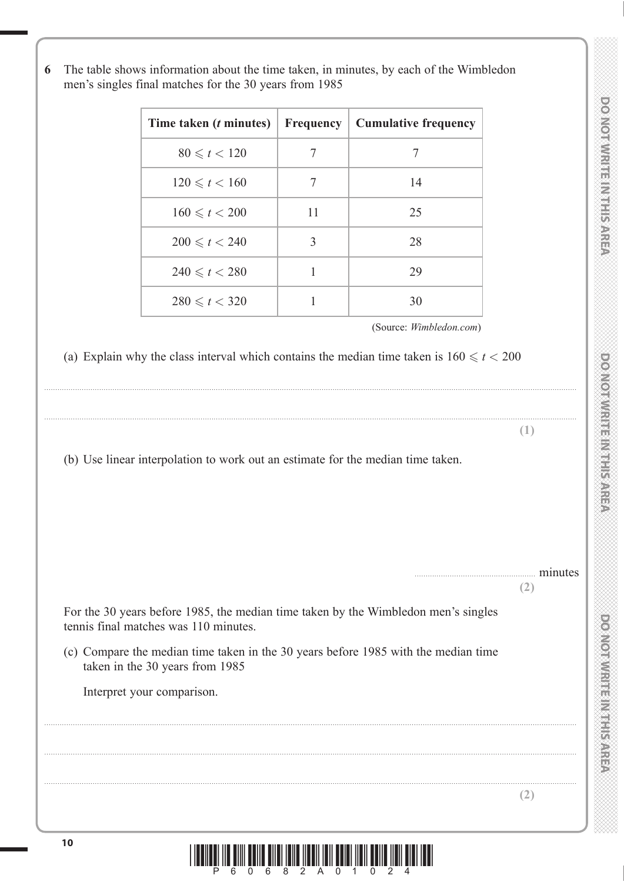**DOMORATIE MEETINGS** 

men's singles final matches for the 30 years from 1985 **Time taken (***t* **minutes) Frequency Cumulative frequency** 

**6** The table shows information about the time taken, in minutes, by each of the Wimbledon

|                    |    | $1 \text{ m}$ when $V$ minutes $V$ and $V$ and $V$ and $V$ and $V$ and $V$ and $V$ |
|--------------------|----|------------------------------------------------------------------------------------|
| $80 \le t < 120$   |    | 7                                                                                  |
| $120 \le t < 160$  |    | 14                                                                                 |
| $160 \leq t < 200$ | 11 | 25                                                                                 |
| $200 \le t < 240$  | 3  | 28                                                                                 |
| $240 \le t < 280$  |    | 29                                                                                 |
| $280 \le t < 320$  |    | 30                                                                                 |

(Source: *Wimbledon.com*)

(a) Explain why the class interval which contains the median time taken is  $160 \le t < 200$ 

..................................................................................................................................................................................................................................................

..................................................................................................................................................................................................................................................

**(1)**

(b) Use linear interpolation to work out an estimate for the median time taken.

|                                                                                                                             | minutes |
|-----------------------------------------------------------------------------------------------------------------------------|---------|
| For the 30 years before 1985, the median time taken by the Wimbledon men's singles<br>tennis final matches was 110 minutes. |         |
| (c) Compare the median time taken in the 30 years before 1985 with the median time<br>taken in the 30 years from 1985       |         |
| Interpret your comparison.                                                                                                  |         |
|                                                                                                                             |         |
|                                                                                                                             |         |
|                                                                                                                             |         |
|                                                                                                                             |         |

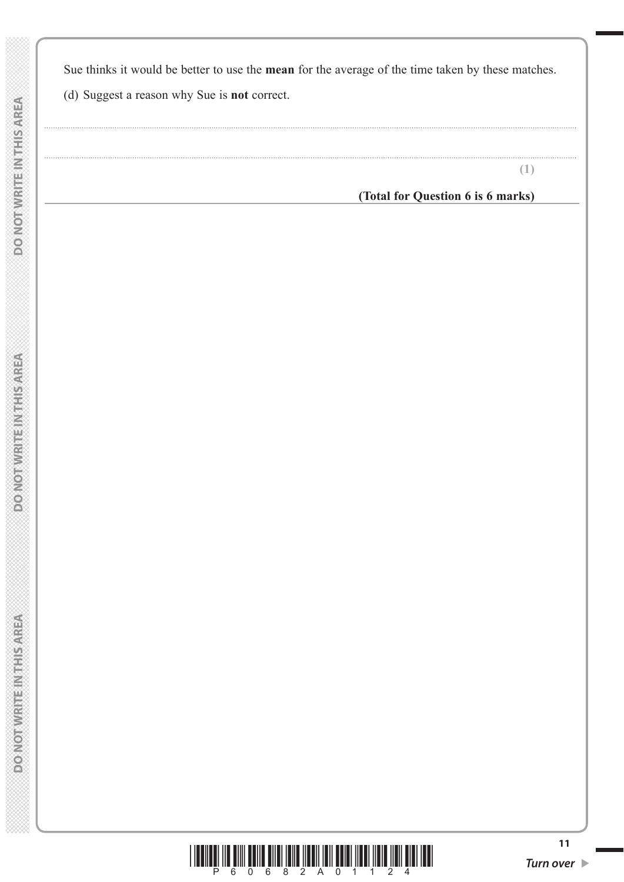Sue thinks it would be better to use the **mean** for the average of the time taken by these matches.

..................................................................................................................................................................................................................................................

..................................................................................................................................................................................................................................................

(d) Suggest a reason why Sue is **not** correct.

**(1)**

#### **(Total for Question 6 is 6 marks)**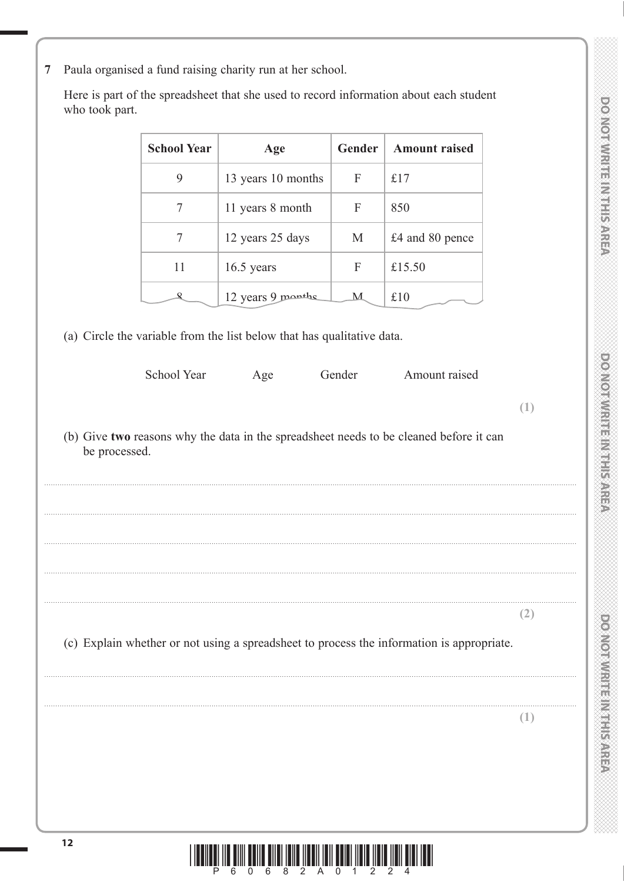**DOO YORD WEBSTART PARTIES** 

Paula organised a fund raising charity run at her school.  $\overline{7}$ 

Here is part of the spreadsheet that she used to record information about each student who took part.

| <b>School Year</b><br>Age |                    | <b>Gender</b> | <b>Amount raised</b> |
|---------------------------|--------------------|---------------|----------------------|
| 9                         | 13 years 10 months | F             | £ $17$               |
|                           | 11 years 8 month   | F             | 850                  |
|                           | 12 years 25 days   | M             | $£4$ and 80 pence    |
| 11                        | $16.5$ years       | F             | £15.50               |
|                           | 12 years 9 months  | M             | £10                  |

(a) Circle the variable from the list below that has qualitative data.

|                   | School Year | Age | Gender | Amount raised                                                                             |     |
|-------------------|-------------|-----|--------|-------------------------------------------------------------------------------------------|-----|
|                   |             |     |        |                                                                                           | (1) |
| be processed.     |             |     |        | (b) Give two reasons why the data in the spreadsheet needs to be cleaned before it can    |     |
|                   |             |     |        |                                                                                           |     |
|                   |             |     |        |                                                                                           |     |
|                   |             |     |        |                                                                                           |     |
|                   |             |     |        | (c) Explain whether or not using a spreadsheet to process the information is appropriate. | (2) |
|                   |             |     |        |                                                                                           |     |
|                   |             |     |        |                                                                                           | (1) |
|                   |             |     |        |                                                                                           |     |
|                   |             |     |        |                                                                                           |     |
| $12 \ \mathrm{ }$ |             |     |        |                                                                                           |     |

<u>THENING IN ANN BAN SIN MAN MAN MAN SAN MAN MAN MAN MAN MAN</u>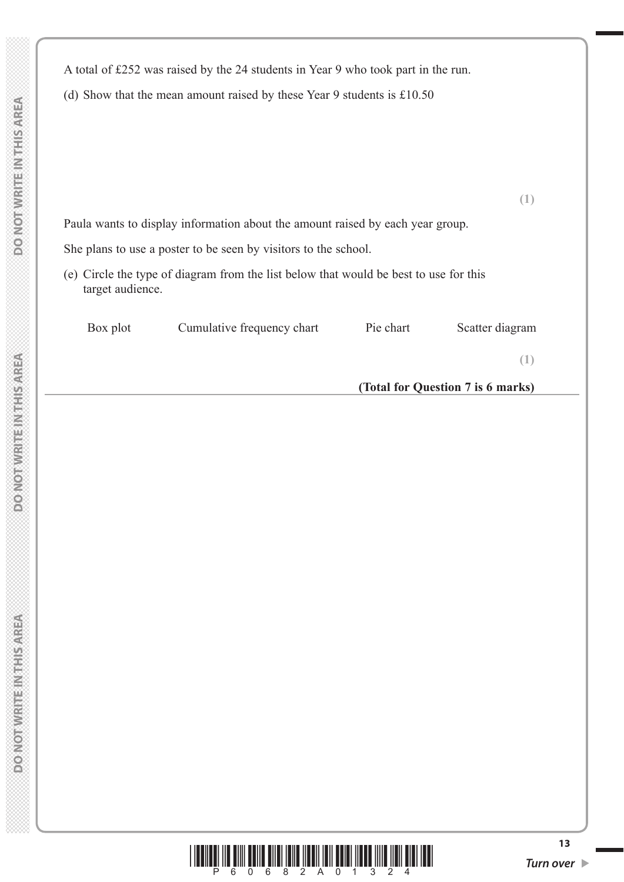| A total of £252 was raised by the 24 students in Year 9 who took part in the run. |                                                                                       |           |                                   |  |
|-----------------------------------------------------------------------------------|---------------------------------------------------------------------------------------|-----------|-----------------------------------|--|
|                                                                                   | (d) Show that the mean amount raised by these Year 9 students is $£10.50$             |           |                                   |  |
|                                                                                   |                                                                                       |           |                                   |  |
|                                                                                   |                                                                                       |           |                                   |  |
|                                                                                   |                                                                                       |           |                                   |  |
|                                                                                   |                                                                                       |           |                                   |  |
|                                                                                   |                                                                                       |           | (1)                               |  |
|                                                                                   | Paula wants to display information about the amount raised by each year group.        |           |                                   |  |
|                                                                                   | She plans to use a poster to be seen by visitors to the school.                       |           |                                   |  |
| target audience.                                                                  | (e) Circle the type of diagram from the list below that would be best to use for this |           |                                   |  |
| Box plot                                                                          | Cumulative frequency chart                                                            | Pie chart | Scatter diagram                   |  |
|                                                                                   |                                                                                       |           | (1)                               |  |
|                                                                                   |                                                                                       |           | (Total for Question 7 is 6 marks) |  |

**PO NOTWEEPINGER**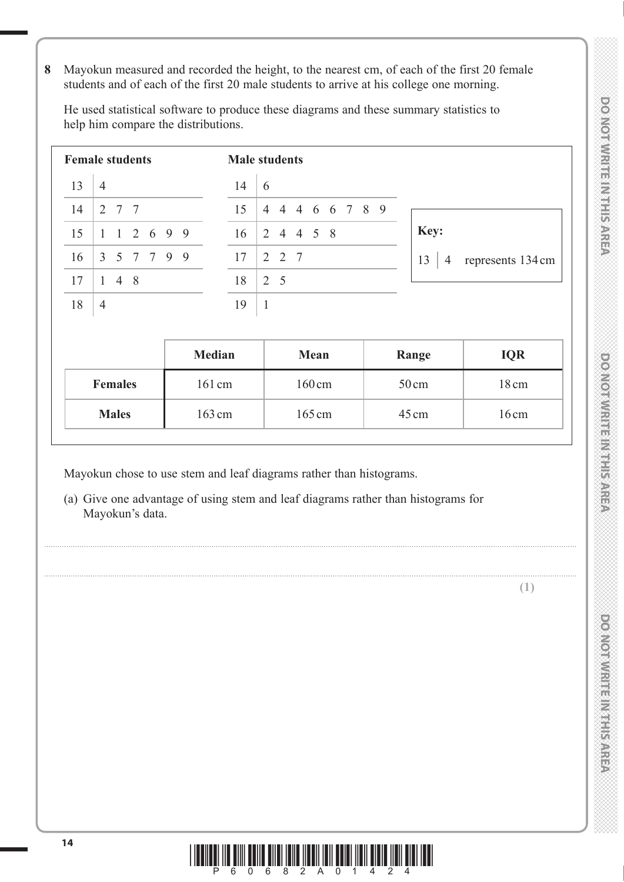**8** Mayokun measured and recorded the height, to the nearest cm, of each of the first 20 female students and of each of the first 20 male students to arrive at his college one morning.

 He used statistical software to produce these diagrams and these summary statistics to help him compare the distributions.

|    | <b>Female students</b>  |    | <b>Male students</b>                               |
|----|-------------------------|----|----------------------------------------------------|
| 13 | 4                       | 14 | 6                                                  |
| 14 | 2 7 7                   | 15 | 4 4 4 6 6 7 8 9                                    |
| 15 | $1 \t1 \t2 \t6 \t9 \t9$ | 16 | Key:<br>2 4 4 5 8                                  |
| 16 | 3 5 7 7 9 9             | 17 | 2 2 7<br>represents 134 cm<br>13<br>$\overline{4}$ |
| 17 | 4 8                     | 18 | 2 5                                                |
| 18 | 4                       | 19 |                                                    |

|                | <b>Median</b>    | Mean             | Range           | <b>IQR</b>      |
|----------------|------------------|------------------|-----------------|-----------------|
| <b>Females</b> | 161 cm           | $160 \text{ cm}$ | $50 \text{ cm}$ | $18 \text{ cm}$ |
| <b>Males</b>   | $163 \text{ cm}$ | $165 \text{ cm}$ | $45 \text{ cm}$ | $16 \text{ cm}$ |

..................................................................................................................................................................................................................................................

..................................................................................................................................................................................................................................................

Mayokun chose to use stem and leaf diagrams rather than histograms.

 (a) Give one advantage of using stem and leaf diagrams rather than histograms for Mayokun's data.

**(1)**

DO NOTWRITE IN THIS AREA

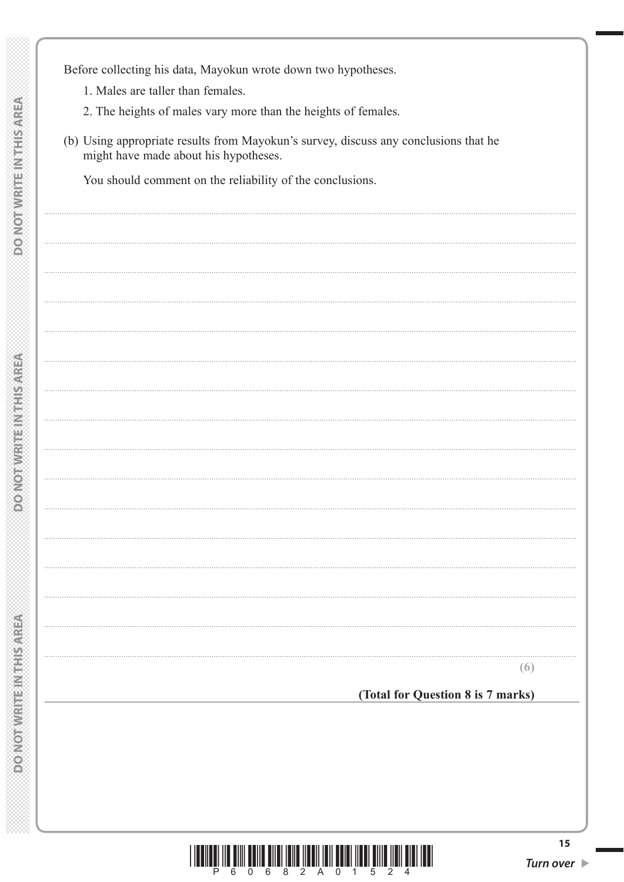**DO NOT WRITEIN THIS AREA** 

**ASSINGLING IN STRUCK ON 201** 

Before collecting his data, Mayokun wrote down two hypotheses.

- 1. Males are taller than females.
- 2. The heights of males vary more than the heights of females.
- (b) Using appropriate results from Mayokun's survey, discuss any conclusions that he might have made about his hypotheses.

You should comment on the reliability of the conclusions.

 $(6)$ 

# (Total for Question 8 is 7 marks)



 $15$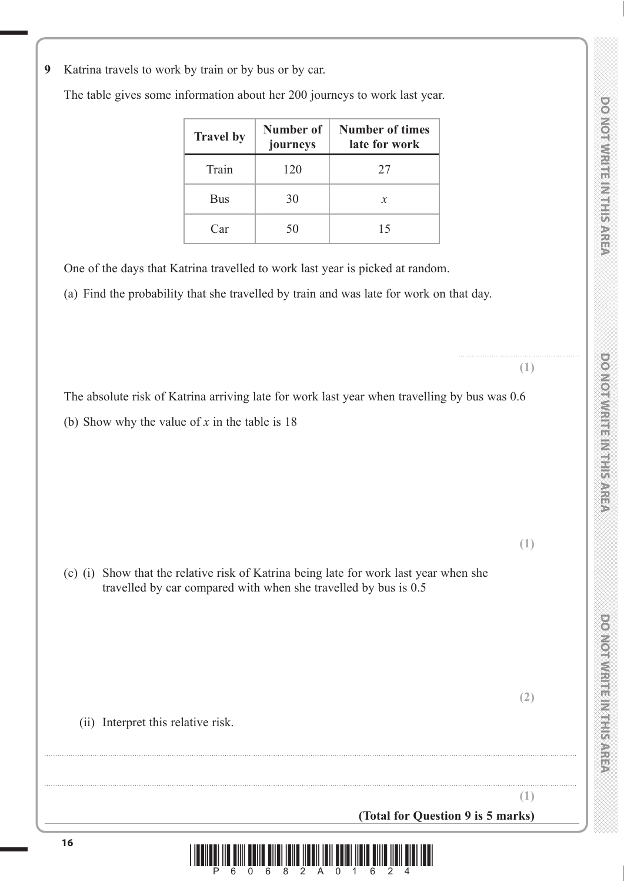....................................................... **(1)**

**(1)**

**(2)**

**(1)**

**DOOMOTIVIEE IN THE SARE** 

**9** Katrina travels to work by train or by bus or by car.

**Travel by Number of journeys Number of times late for work** Train 120 27 Bus  $30 \t x$ Car | 50 | 15

The table gives some information about her 200 journeys to work last year.

One of the days that Katrina travelled to work last year is picked at random.

(a) Find the probability that she travelled by train and was late for work on that day.

The absolute risk of Katrina arriving late for work last year when travelling by bus was 0.6

(b) Show why the value of *x* in the table is 18

 (c) (i) Show that the relative risk of Katrina being late for work last year when she travelled by car compared with when she travelled by bus is 0.5

(ii) Interpret this relative risk.

**(Total for Question 9 is 5 marks)**



..................................................................................................................................................................................................................................................

..................................................................................................................................................................................................................................................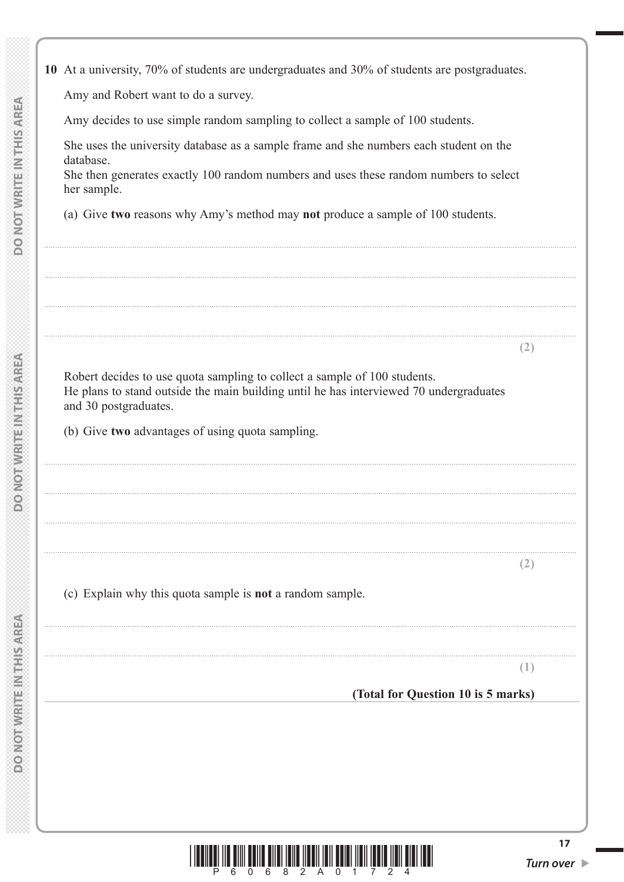Amy and Robert want to do a survey. **PONOTN'S RINE TRANSPACE** database. her sample. **DOMOTHISTIC INTERSIGNED** and 30 postgraduates. (b) Give two advantages of using quota sampling. (c) Explain why this quota sample is **not** a random sample. **MERINGS HER NEED AREAS** 

She then generates exactly 100 random numbers and uses these random numbers to select (a) Give two reasons why Amy's method may not produce a sample of 100 students.  $(2)$ Robert decides to use quota sampling to collect a sample of 100 students. He plans to stand outside the main building until he has interviewed 70 undergraduates  $(2)$  $(1)$ (Total for Question 10 is 5 marks)

6 8 2 A 0 1 7

10 At a university, 70% of students are undergraduates and 30% of students are postgraduates.

Amy decides to use simple random sampling to collect a sample of 100 students.

She uses the university database as a sample frame and she numbers each student on the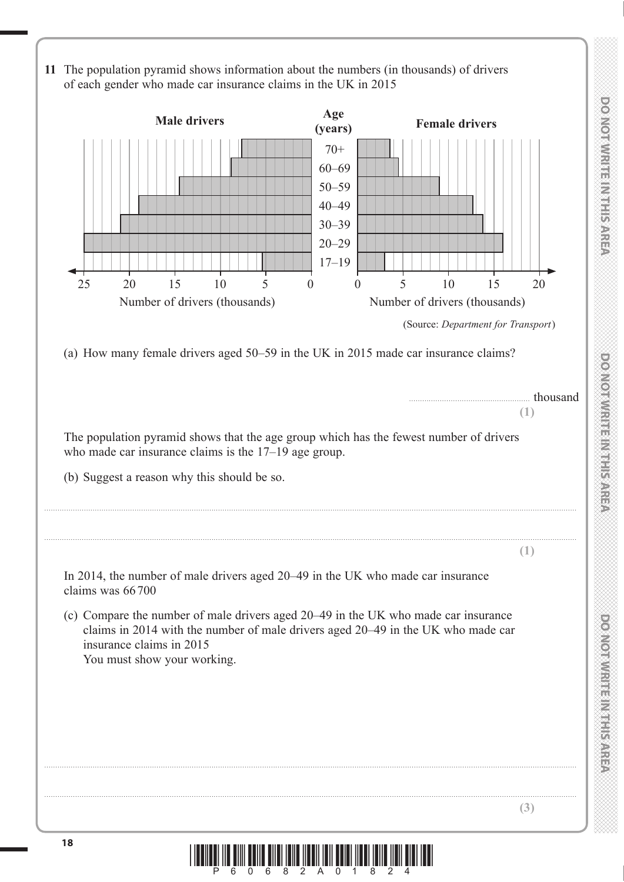**THIS AREA DO NOT WRITE IN THIS AREA DO NOT WRITE IN THIS AREA DO NOT WRITE IN THIS AREA DO NOT WRITE IN THIS AREA DO NOT WRITE IN THIS AREA DO NOT WRITE IN THE INTERNATIONAL CONTINUES.**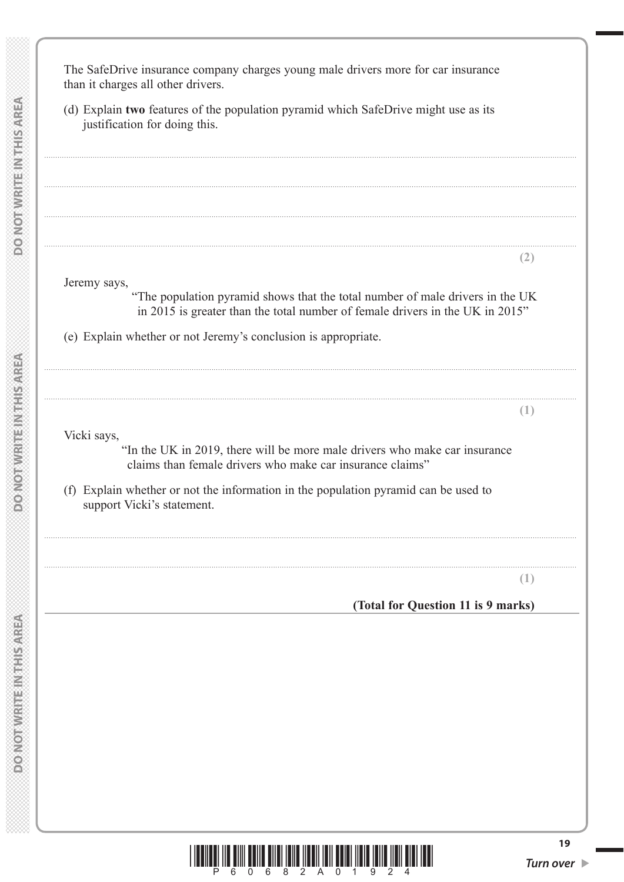



19

**MEETH START AND AND AND AND A** 

**MERICAN DISTRICTION OF STREET**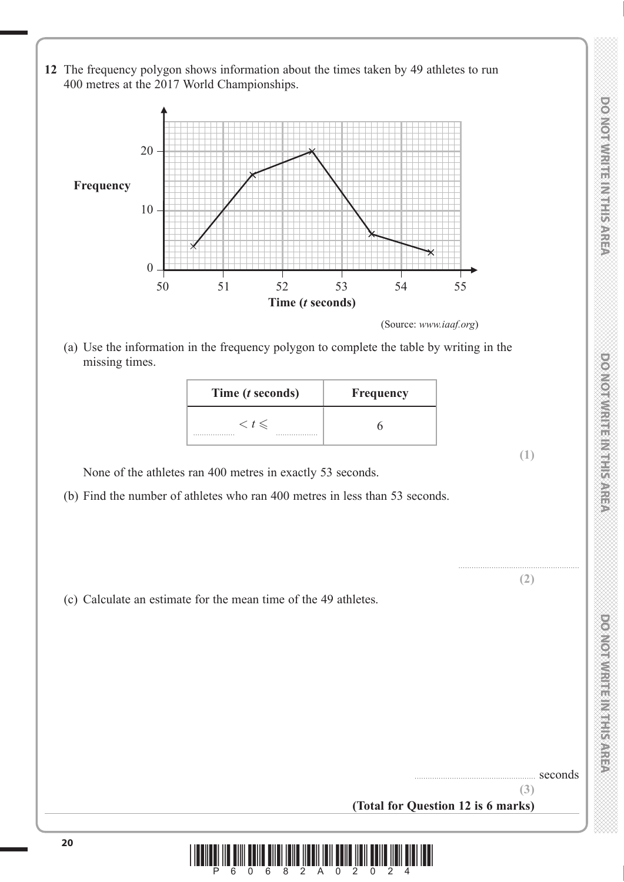**DO NOT WRITE IN THIS AREA** 

**DOMORRINE IN HELP SARE** 

#### **12** The frequency polygon shows information about the times taken by 49 athletes to run 400 metres at the 2017 World Championships.



(Source: *www.iaaf.org*)

 (a) Use the information in the frequency polygon to complete the table by writing in the missing times.

| Time ( <i>t</i> seconds) | <b>Frequency</b> |
|--------------------------|------------------|
| $\lt t \leq$<br>.<br>.   |                  |

None of the athletes ran 400 metres in exactly 53 seconds.

- (b) Find the number of athletes who ran 400 metres in less than 53 seconds.
- (c) Calculate an estimate for the mean time of the 49 athletes.

|      | seconds |
|------|---------|
| -631 |         |

**(1)**

....................................................... **(2)**

**(Total for Question 12 is 6 marks)**

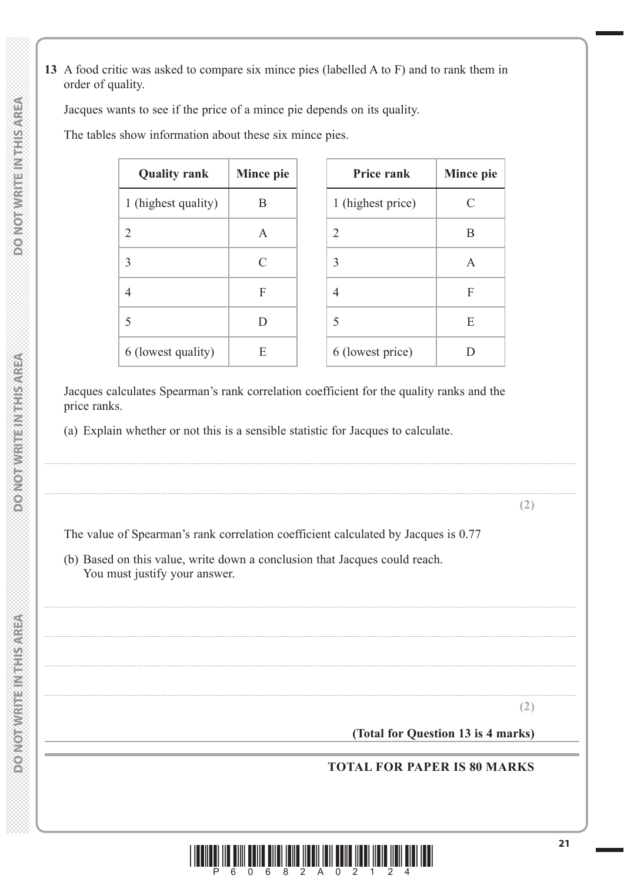**13** A food critic was asked to compare six mince pies (labelled A to F) and to rank them in order of quality.

Jacques wants to see if the price of a mince pie depends on its quality.

The tables show information about these six mince pies.

| <b>Quality rank</b> | Mince pie     | Price rank        | Mince pie |
|---------------------|---------------|-------------------|-----------|
| 1 (highest quality) | B             | 1 (highest price) | $\subset$ |
| $\overline{2}$      | A             | $\overline{2}$    | В         |
| 3                   | $\mathcal{C}$ | 3                 | A         |
| $\overline{4}$      | F             | $\overline{4}$    | F         |
| 5                   | D             | 5                 | E         |
| 6 (lowest quality)  | E             | 6 (lowest price)  |           |

 Jacques calculates Spearman's rank correlation coefficient for the quality ranks and the price ranks.

..................................................................................................................................................................................................................................................

..................................................................................................................................................................................................................................................

..................................................................................................................................................................................................................................................

..................................................................................................................................................................................................................................................

..................................................................................................................................................................................................................................................

..................................................................................................................................................................................................................................................

(a) Explain whether or not this is a sensible statistic for Jacques to calculate.

**(2)**

The value of Spearman's rank correlation coefficient calculated by Jacques is 0.77

 (b) Based on this value, write down a conclusion that Jacques could reach. You must justify your answer.

**(Total for Question 13 is 4 marks)**

### **TOTAL FOR PAPER IS 80 MARKS**

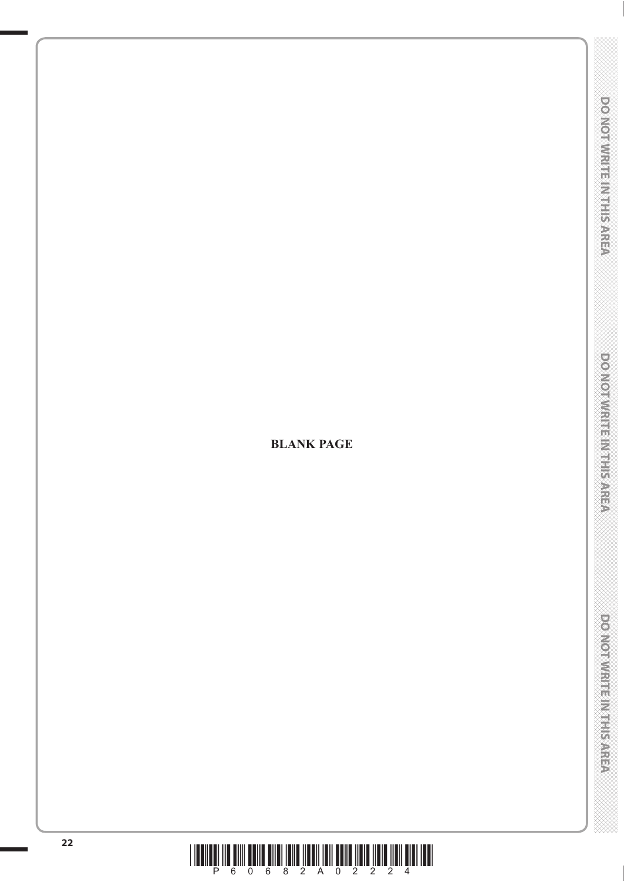**BLANK PAGE**

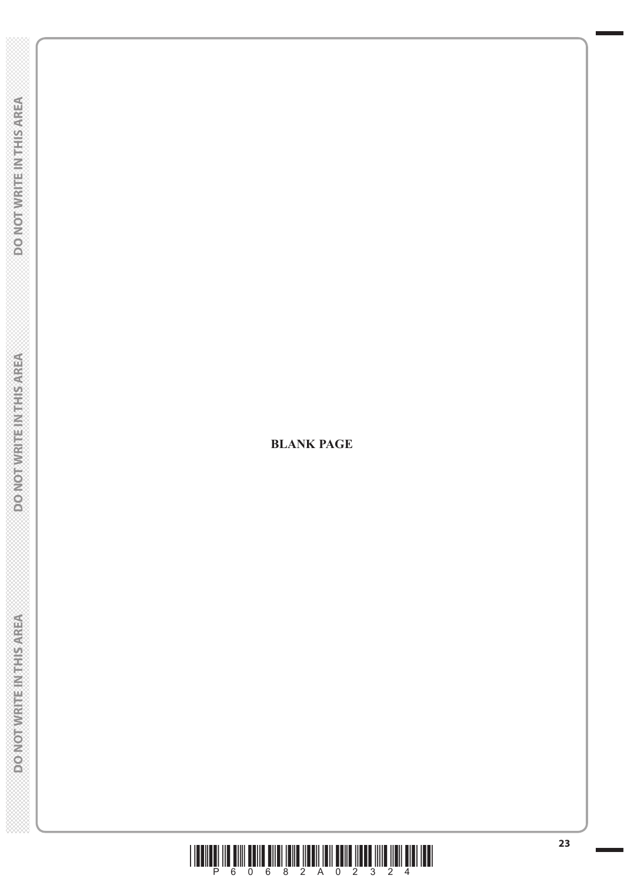**BLANK PAGE**